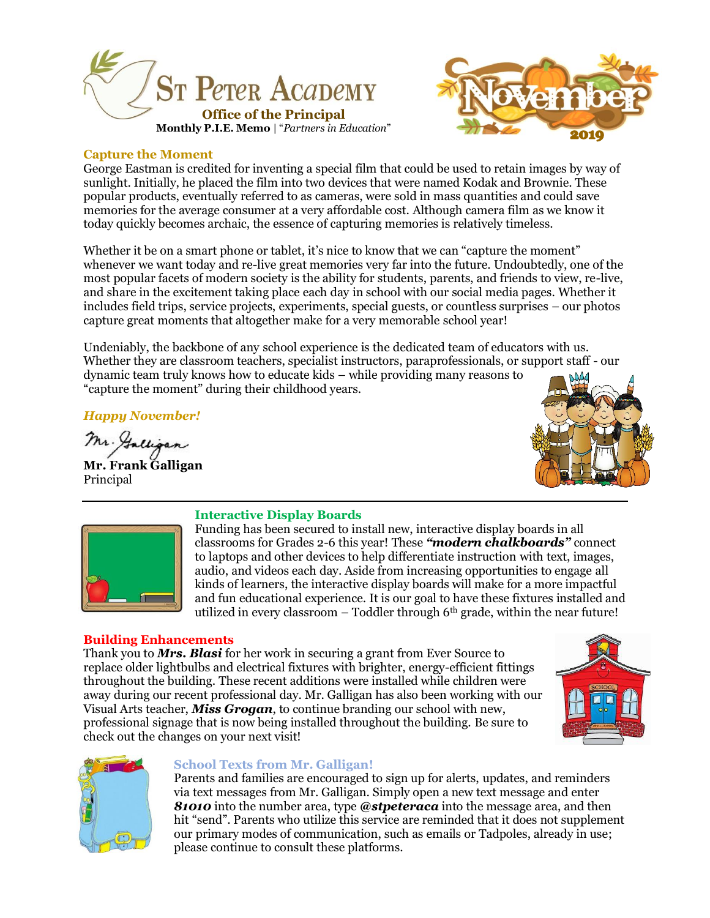

### **Capture the Moment**

George Eastman is credited for inventing a special film that could be used to retain images by way of sunlight. Initially, he placed the film into two devices that were named Kodak and Brownie. These popular products, eventually referred to as cameras, were sold in mass quantities and could save memories for the average consumer at a very affordable cost. Although camera film as we know it today quickly becomes archaic, the essence of capturing memories is relatively timeless.

Whether it be on a smart phone or tablet, it's nice to know that we can "capture the moment" whenever we want today and re-live great memories very far into the future. Undoubtedly, one of the most popular facets of modern society is the ability for students, parents, and friends to view, re-live, and share in the excitement taking place each day in school with our social media pages. Whether it includes field trips, service projects, experiments, special guests, or countless surprises – our photos capture great moments that altogether make for a very memorable school year!

Undeniably, the backbone of any school experience is the dedicated team of educators with us. Whether they are classroom teachers, specialist instructors, paraprofessionals, or support staff - our dynamic team truly knows how to educate kids – while providing many reasons to "capture the moment" during their childhood years.

*Happy November!*

í **Mr. Frank Galligan**

Principal





### **Interactive Display Boards**

Funding has been secured to install new, interactive display boards in all classrooms for Grades 2-6 this year! These *"modern chalkboards"* connect to laptops and other devices to help differentiate instruction with text, images, audio, and videos each day. Aside from increasing opportunities to engage all kinds of learners, the interactive display boards will make for a more impactful and fun educational experience. It is our goal to have these fixtures installed and utilized in every classroom  $-$  Toddler through  $6<sup>th</sup>$  grade, within the near future!

### **Building Enhancements**

Thank you to *Mrs. Blasi* for her work in securing a grant from Ever Source to replace older lightbulbs and electrical fixtures with brighter, energy-efficient fittings throughout the building. These recent additions were installed while children were away during our recent professional day. Mr. Galligan has also been working with our Visual Arts teacher, *Miss Grogan*, to continue branding our school with new, professional signage that is now being installed throughout the building. Be sure to check out the changes on your next visit!





### **School Texts from Mr. Galligan!**

Parents and families are encouraged to sign up for alerts, updates, and reminders via text messages from Mr. Galligan. Simply open a new text message and enter *81010* into the number area, type *@stpeteraca* into the message area, and then hit "send". Parents who utilize this service are reminded that it does not supplement our primary modes of communication, such as emails or Tadpoles, already in use; please continue to consult these platforms.

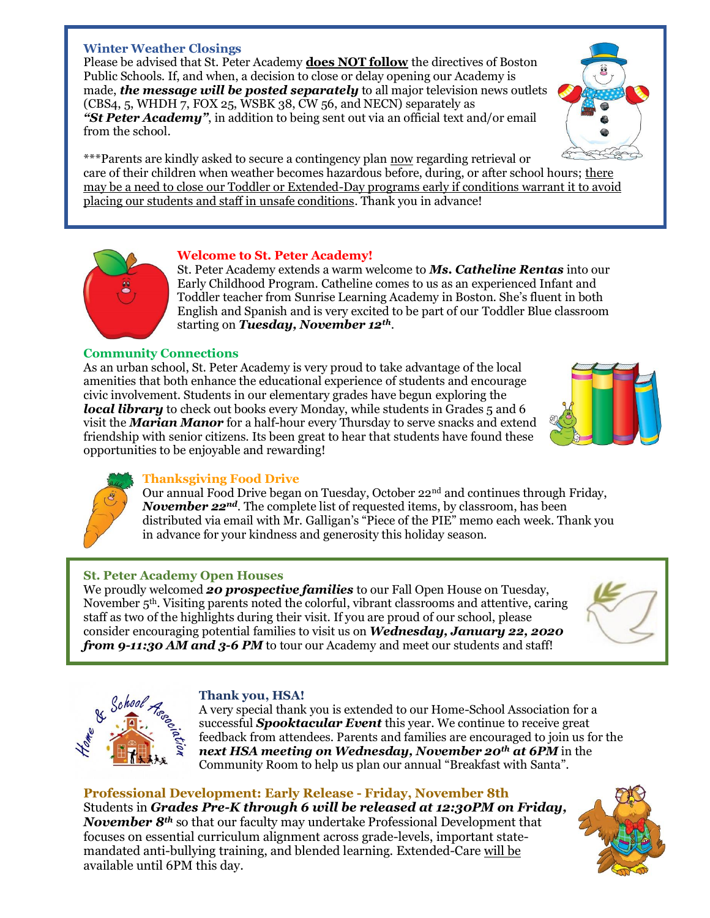# **Winter Weather Closings**

Please be advised that St. Peter Academy **does NOT follow** the directives of Boston Public Schools. If, and when, a decision to close or delay opening our Academy is made, *the message will be posted separately* to all major television news outlets (CBS4, 5, WHDH 7, FOX 25, WSBK 38, CW 56, and NECN) separately as *"St Peter Academy"*, in addition to being sent out via an official text and/or email from the school.

\*\*\*Parents are kindly asked to secure a contingency plan now regarding retrieval or care of their children when weather becomes hazardous before, during, or after school hours; there may be a need to close our Toddler or Extended-Day programs early if conditions warrant it to avoid placing our students and staff in unsafe conditions. Thank you in advance!

# **Welcome to St. Peter Academy!**

St. Peter Academy extends a warm welcome to *Ms. Catheline Rentas* into our Early Childhood Program. Catheline comes to us as an experienced Infant and Toddler teacher from Sunrise Learning Academy in Boston. She's fluent in both English and Spanish and is very excited to be part of our Toddler Blue classroom starting on *Tuesday, November 12th*.

# **Community Connections**

As an urban school, St. Peter Academy is very proud to take advantage of the local amenities that both enhance the educational experience of students and encourage civic involvement. Students in our elementary grades have begun exploring the *local library* to check out books every Monday, while students in Grades 5 and 6 visit the *Marian Manor* for a half-hour every Thursday to serve snacks and extend friendship with senior citizens. Its been great to hear that students have found these opportunities to be enjoyable and rewarding!

# **Thanksgiving Food Drive**

Our annual Food Drive began on Tuesday, October 22<sup>nd</sup> and continues through Friday, *November 22<sup>nd</sup>*. The complete list of requested items, by classroom, has been distributed via email with Mr. Galligan's "Piece of the PIE" memo each week. Thank you in advance for your kindness and generosity this holiday season.

# **St. Peter Academy Open Houses**

We proudly welcomed *20 prospective families* to our Fall Open House on Tuesday, November 5<sup>th</sup>. Visiting parents noted the colorful, vibrant classrooms and attentive, caring staff as two of the highlights during their visit. If you are proud of our school, please consider encouraging potential families to visit us on *Wednesday, January 22, 2020 from 9-11:30 AM and 3-6 PM* to tour our Academy and meet our students and staff!

## **Thank you, HSA!**

A very special thank you is extended to our Home-School Association for a successful *Spooktacular Event* this year. We continue to receive great feedback from attendees. Parents and families are encouraged to join us for the *next HSA meeting on Wednesday, November 20th at 6PM* in the Community Room to help us plan our annual "Breakfast with Santa".

**Professional Development: Early Release - Friday, November 8th** Students in *Grades Pre-K through 6 will be released at 12:30PM on Friday, November 8th* so that our faculty may undertake Professional Development that focuses on essential curriculum alignment across grade-levels, important statemandated anti-bullying training, and blended learning. Extended-Care will be available until 6PM this day.

School







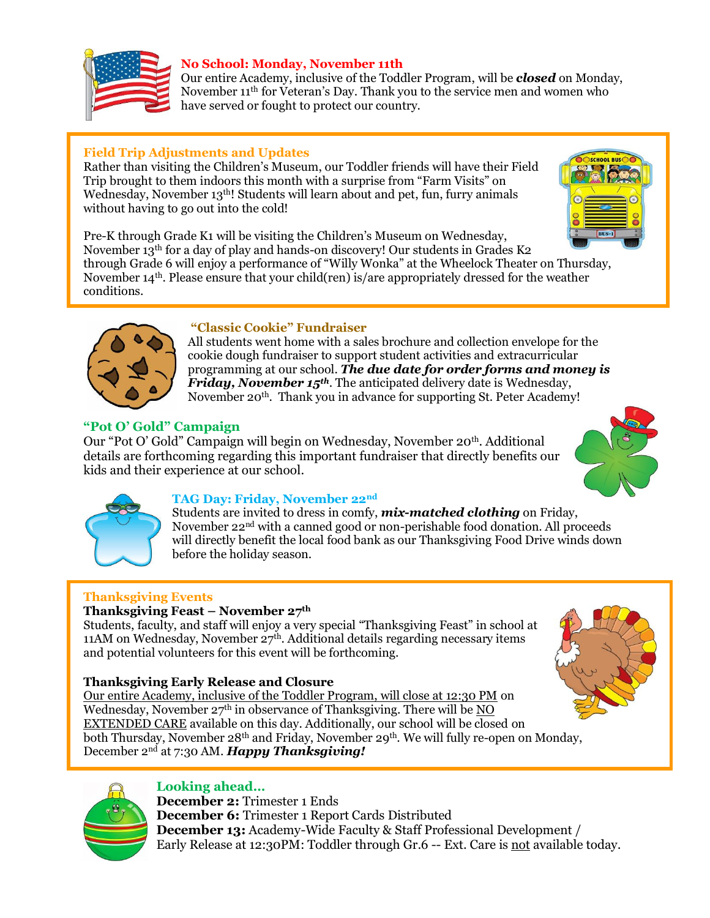

## **No School: Monday, November 11th**

Our entire Academy, inclusive of the Toddler Program, will be *closed* on Monday, November 11th for Veteran's Day. Thank you to the service men and women who have served or fought to protect our country.

## **Field Trip Adjustments and Updates**

Rather than visiting the Children's Museum, our Toddler friends will have their Field Trip brought to them indoors this month with a surprise from "Farm Visits" on Wednesday, November 13th! Students will learn about and pet, fun, furry animals without having to go out into the cold!



Pre-K through Grade K1 will be visiting the Children's Museum on Wednesday, November 13th for a day of play and hands-on discovery! Our students in Grades K2 through Grade 6 will enjoy a performance of "Willy Wonka" at the Wheelock Theater on Thursday, November 14th. Please ensure that your child(ren) is/are appropriately dressed for the weather conditions.

## **"Classic Cookie" Fundraiser**

All students went home with a sales brochure and collection envelope for the cookie dough fundraiser to support student activities and extracurricular programming at our school. *The due date for order forms and money is Friday, November 15th*. The anticipated delivery date is Wednesday, November 20<sup>th</sup>. Thank you in advance for supporting St. Peter Academy!

## **"Pot O' Gold" Campaign**

Our "Pot O' Gold" Campaign will begin on Wednesday, November 20th. Additional details are forthcoming regarding this important fundraiser that directly benefits our kids and their experience at our school.





## **TAG Day: Friday, November 22nd**

Students are invited to dress in comfy, *mix-matched clothing* on Friday, November 22<sup>nd</sup> with a canned good or non-perishable food donation. All proceeds will directly benefit the local food bank as our Thanksgiving Food Drive winds down before the holiday season.

## **Thanksgiving Events**

## **Thanksgiving Feast – November 27th**

Students, faculty, and staff will enjoy a very special "Thanksgiving Feast" in school at 11AM on Wednesday, November  $27<sup>th</sup>$ . Additional details regarding necessary items and potential volunteers for this event will be forthcoming.

### **Thanksgiving Early Release and Closure**

Our entire Academy, inclusive of the Toddler Program, will close at 12:30 PM on Wednesday, November  $27<sup>th</sup>$  in observance of Thanksgiving. There will be NO EXTENDED CARE available on this day. Additionally, our school will be closed on both Thursday, November 28<sup>th</sup> and Friday, November 29<sup>th</sup>. We will fully re-open on Monday, December 2nd at 7:30 AM. *Happy Thanksgiving!*



## **Looking ahead…**

**December 2:** Trimester 1 Ends **December 6:** Trimester 1 Report Cards Distributed **December 13:** Academy-Wide Faculty & Staff Professional Development / Early Release at 12:30PM: Toddler through Gr.6 -- Ext. Care is not available today.